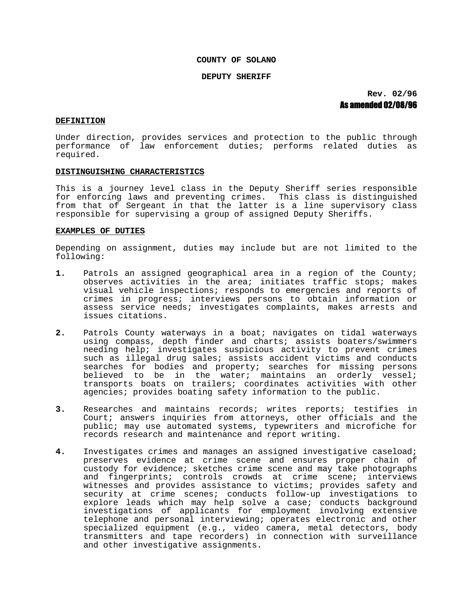# **COUNTY OF SOLANO**

#### **DEPUTY SHERIFF**

**Rev. 02/96** As amended 02/08/96

## **DEFINITION**

Under direction, provides services and protection to the public through performance of law enforcement duties; performs related duties as required.

#### **DISTINGUISHING CHARACTERISTICS**

This is a journey level class in the Deputy Sheriff series responsible for enforcing laws and preventing crimes. This class is distinguished from that of Sergeant in that the latter is a line supervisory class responsible for supervising a group of assigned Deputy Sheriffs.

# **EXAMPLES OF DUTIES**

Depending on assignment, duties may include but are not limited to the following:

- **1.** Patrols an assigned geographical area in a region of the County; observes activities in the area; initiates traffic stops; makes visual vehicle inspections; responds to emergencies and reports of crimes in progress; interviews persons to obtain information or assess service needs; investigates complaints, makes arrests and issues citations.
- **2.** Patrols County waterways in a boat; navigates on tidal waterways using compass, depth finder and charts; assists boaters/swimmers needing help; investigates suspicious activity to prevent crimes such as illegal drug sales; assists accident victims and conducts searches for bodies and property; searches for missing persons believed to be in the water; maintains an orderly vessel; transports boats on trailers; coordinates activities with other agencies; provides boating safety information to the public.
- **3.** Researches and maintains records; writes reports; testifies in Court; answers inquiries from attorneys, other officials and the public; may use automated systems, typewriters and microfiche for records research and maintenance and report writing.
- **4.** Investigates crimes and manages an assigned investigative caseload; preserves evidence at crime scene and ensures proper chain of custody for evidence; sketches crime scene and may take photographs and fingerprints; controls crowds at crime scene; interviews witnesses and provides assistance to victims; provides safety and security at crime scenes; conducts follow-up investigations to explore leads which may help solve a case; conducts background investigations of applicants for employment involving extensive telephone and personal interviewing; operates electronic and other specialized equipment (e.g., video camera, metal detectors, body transmitters and tape recorders) in connection with surveillance and other investigative assignments.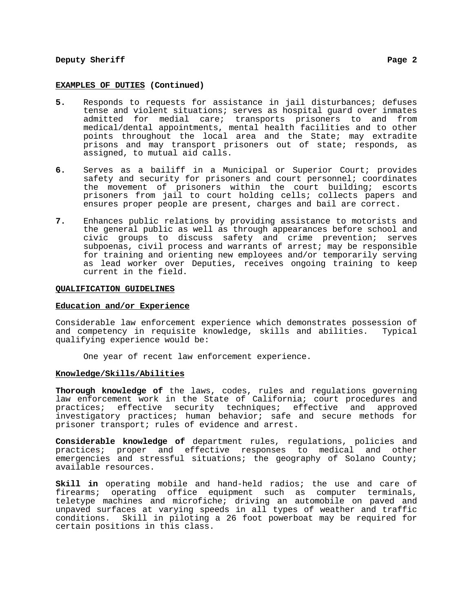# **Deputy Sheriff** Page 2

#### **EXAMPLES OF DUTIES (Continued)**

- **5.** Responds to requests for assistance in jail disturbances; defuses tense and violent situations; serves as hospital guard over inmates admitted for medial care; transports prisoners to and from medical/dental appointments, mental health facilities and to other points throughout the local area and the State; may extradite prisons and may transport prisoners out of state; responds, as assigned, to mutual aid calls.
- **6.** Serves as a bailiff in a Municipal or Superior Court; provides safety and security for prisoners and court personnel; coordinates the movement of prisoners within the court building; escorts prisoners from jail to court holding cells; collects papers and ensures proper people are present, charges and bail are correct.
- **7.** Enhances public relations by providing assistance to motorists and the general public as well as through appearances before school and civic groups to discuss safety and crime prevention; serves subpoenas, civil process and warrants of arrest; may be responsible for training and orienting new employees and/or temporarily serving as lead worker over Deputies, receives ongoing training to keep current in the field.

## **QUALIFICATION GUIDELINES**

## **Education and/or Experience**

Considerable law enforcement experience which demonstrates possession of and competency in requisite knowledge, skills and abilities. Typical qualifying experience would be:

One year of recent law enforcement experience.

## **Knowledge/Skills/Abilities**

**Thorough knowledge of** the laws, codes, rules and regulations governing law enforcement work in the State of California; court procedures and practices; effective security techniques; effective and approved investigatory practices; human behavior; safe and secure methods for prisoner transport; rules of evidence and arrest.

**Considerable knowledge of** department rules, regulations, policies and practices; proper and effective responses to medical and other emergencies and stressful situations; the geography of Solano County; available resources.

**Skill in** operating mobile and hand-held radios; the use and care of firearms; operating office equipment such as computer terminals, teletype machines and microfiche; driving an automobile on paved and unpaved surfaces at varying speeds in all types of weather and traffic conditions. Skill in piloting a 26 foot powerboat may be required for certain positions in this class.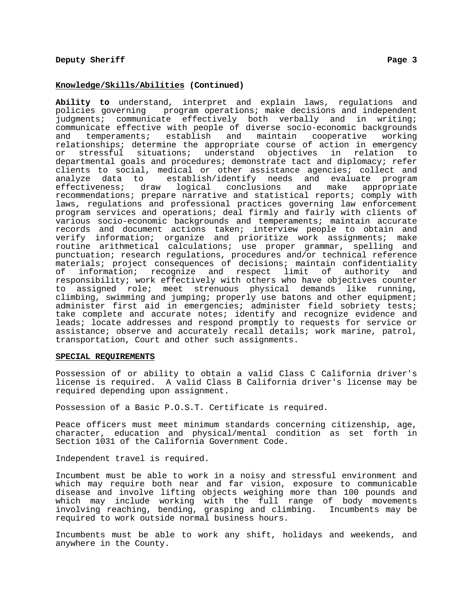# **Knowledge/Skills/Abilities (Continued)**

**Ability to** understand, interpret and explain laws, regulations and policies governing program operations; make decisions and independent judgments; communicate effectively both verbally and in writing; communicate effective with people of diverse socio-economic backgrounds and temperaments; establish and maintain cooperative working relationships; determine the appropriate course of action in emergency or stressful situations; understand objectives in relation to departmental goals and procedures; demonstrate tact and diplomacy; refer clients to social, medical or other assistance agencies; collect and analyze data to establish/identify needs and evaluate program<br>effectiveness; draw logical conclusions and make appropriate draw logical conclusions and make appropriate recommendations; prepare narrative and statistical reports; comply with laws, regulations and professional practices governing law enforcement program services and operations; deal firmly and fairly with clients of various socio-economic backgrounds and temperaments; maintain accurate records and document actions taken; interview people to obtain and verify information; organize and prioritize work assignments; make routine arithmetical calculations; use proper grammar, spelling and punctuation; research regulations, procedures and/or technical reference materials; project consequences of decisions; maintain confidentiality<br>of information; recognize and respect limit of authority and recognize and respect limit of authority and responsibility; work effectively with others who have objectives counter to assigned role; meet strenuous physical demands like running, climbing, swimming and jumping; properly use batons and other equipment; administer first aid in emergencies; administer field sobriety tests; take complete and accurate notes; identify and recognize evidence and leads; locate addresses and respond promptly to requests for service or assistance; observe and accurately recall details; work marine, patrol, transportation, Court and other such assignments.

## **SPECIAL REQUIREMENTS**

Possession of or ability to obtain a valid Class C California driver's license is required. A valid Class B California driver's license may be required depending upon assignment.

Possession of a Basic P.O.S.T. Certificate is required.

Peace officers must meet minimum standards concerning citizenship, age, character, education and physical/mental condition as set forth in Section 1031 of the California Government Code.

Independent travel is required.

Incumbent must be able to work in a noisy and stressful environment and which may require both near and far vision, exposure to communicable disease and involve lifting objects weighing more than 100 pounds and which may include working with the full range of body movements involving reaching, bending, grasping and climbing. Incumbents may be required to work outside normal business hours.

Incumbents must be able to work any shift, holidays and weekends, and anywhere in the County.